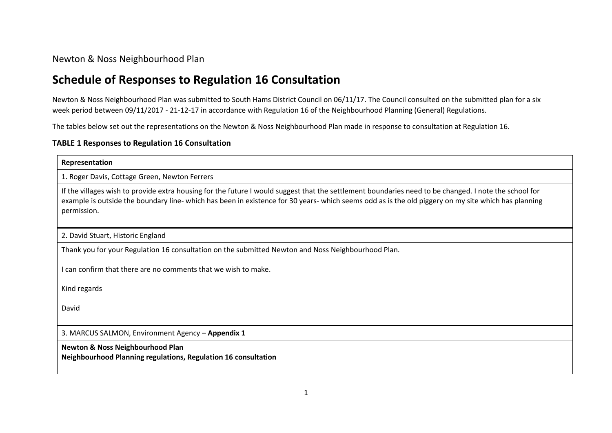## Newton & Noss Neighbourhood Plan

# **Schedule of Responses to Regulation 16 Consultation**

Newton & Noss Neighbourhood Plan was submitted to South Hams District Council on 06/11/17. The Council consulted on the submitted plan for a six week period between 09/11/2017 - 21-12-17 in accordance with Regulation 16 of the Neighbourhood Planning (General) Regulations.

The tables below set out the representations on the Newton & Noss Neighbourhood Plan made in response to consultation at Regulation 16.

#### **TABLE 1 Responses to Regulation 16 Consultation**

| Representation                                                                                                                                                                                                                                                                                                              |
|-----------------------------------------------------------------------------------------------------------------------------------------------------------------------------------------------------------------------------------------------------------------------------------------------------------------------------|
| 1. Roger Davis, Cottage Green, Newton Ferrers                                                                                                                                                                                                                                                                               |
| If the villages wish to provide extra housing for the future I would suggest that the settlement boundaries need to be changed. I note the school for<br>example is outside the boundary line- which has been in existence for 30 years- which seems odd as is the old piggery on my site which has planning<br>permission. |
| 2. David Stuart, Historic England                                                                                                                                                                                                                                                                                           |
| Thank you for your Regulation 16 consultation on the submitted Newton and Noss Neighbourhood Plan.                                                                                                                                                                                                                          |
| I can confirm that there are no comments that we wish to make.                                                                                                                                                                                                                                                              |
| Kind regards                                                                                                                                                                                                                                                                                                                |
| David                                                                                                                                                                                                                                                                                                                       |
| 3. MARCUS SALMON, Environment Agency - Appendix 1                                                                                                                                                                                                                                                                           |
| <b>Newton &amp; Noss Neighbourhood Plan</b><br>Neighbourhood Planning regulations, Regulation 16 consultation                                                                                                                                                                                                               |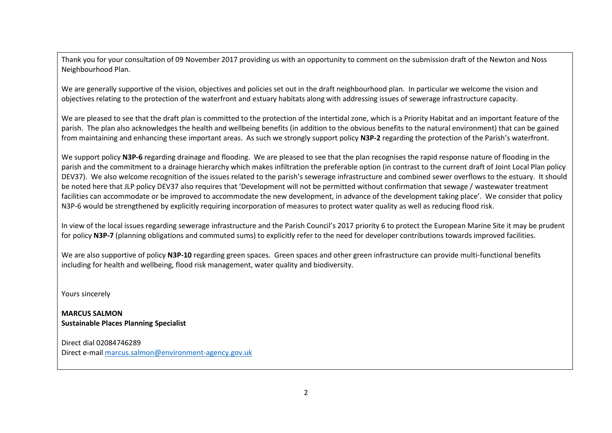Thank you for your consultation of 09 November 2017 providing us with an opportunity to comment on the submission draft of the Newton and Noss Neighbourhood Plan.

We are generally supportive of the vision, objectives and policies set out in the draft neighbourhood plan. In particular we welcome the vision and objectives relating to the protection of the waterfront and estuary habitats along with addressing issues of sewerage infrastructure capacity.

We are pleased to see that the draft plan is committed to the protection of the intertidal zone, which is a Priority Habitat and an important feature of the parish. The plan also acknowledges the health and wellbeing benefits (in addition to the obvious benefits to the natural environment) that can be gained from maintaining and enhancing these important areas. As such we strongly support policy **N3P-2** regarding the protection of the Parish's waterfront.

We support policy **N3P-6** regarding drainage and flooding. We are pleased to see that the plan recognises the rapid response nature of flooding in the parish and the commitment to a drainage hierarchy which makes infiltration the preferable option (in contrast to the current draft of Joint Local Plan policy DEV37). We also welcome recognition of the issues related to the parish's sewerage infrastructure and combined sewer overflows to the estuary. It should be noted here that JLP policy DEV37 also requires that 'Development will not be permitted without confirmation that sewage / wastewater treatment facilities can accommodate or be improved to accommodate the new development, in advance of the development taking place'. We consider that policy N3P-6 would be strengthened by explicitly requiring incorporation of measures to protect water quality as well as reducing flood risk.

In view of the local issues regarding sewerage infrastructure and the Parish Council's 2017 priority 6 to protect the European Marine Site it may be prudent for policy **N3P-7** (planning obligations and commuted sums) to explicitly refer to the need for developer contributions towards improved facilities.

We are also supportive of policy **N3P-10** regarding green spaces. Green spaces and other green infrastructure can provide multi-functional benefits including for health and wellbeing, flood risk management, water quality and biodiversity.

Yours sincerely

**MARCUS SALMON Sustainable Places Planning Specialist**

Direct dial 02084746289 Direct e-mai[l marcus.salmon@environment-agency.gov.uk](mailto:marcus.salmon@environment-agency.gov.uk)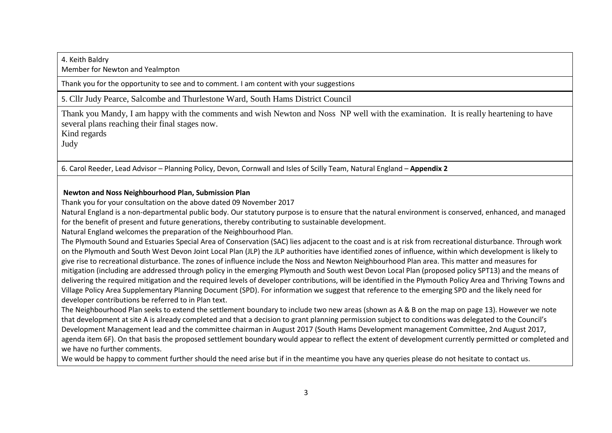## 4. Keith Baldry

Member for Newton and Yealmpton

Thank you for the opportunity to see and to comment. I am content with your suggestions

5. Cllr Judy Pearce, Salcombe and Thurlestone Ward, South Hams District Council

Thank you Mandy, I am happy with the comments and wish Newton and Noss NP well with the examination. It is really heartening to have several plans reaching their final stages now.

Kind regards

Judy

6. Carol Reeder, Lead Advisor – Planning Policy, Devon, Cornwall and Isles of Scilly Team, Natural England – **Appendix 2**

### **Newton and Noss Neighbourhood Plan, Submission Plan**

Thank you for your consultation on the above dated 09 November 2017

Natural England is a non-departmental public body. Our statutory purpose is to ensure that the natural environment is conserved, enhanced, and managed for the benefit of present and future generations, thereby contributing to sustainable development.

Natural England welcomes the preparation of the Neighbourhood Plan.

The Plymouth Sound and Estuaries Special Area of Conservation (SAC) lies adjacent to the coast and is at risk from recreational disturbance. Through work on the Plymouth and South West Devon Joint Local Plan (JLP) the JLP authorities have identified zones of influence, within which development is likely to give rise to recreational disturbance. The zones of influence include the Noss and Newton Neighbourhood Plan area. This matter and measures for mitigation (including are addressed through policy in the emerging Plymouth and South west Devon Local Plan (proposed policy SPT13) and the means of delivering the required mitigation and the required levels of developer contributions, will be identified in the Plymouth Policy Area and Thriving Towns and Village Policy Area Supplementary Planning Document (SPD). For information we suggest that reference to the emerging SPD and the likely need for developer contributions be referred to in Plan text.

The Neighbourhood Plan seeks to extend the settlement boundary to include two new areas (shown as A & B on the map on page 13). However we note that development at site A is already completed and that a decision to grant planning permission subject to conditions was delegated to the Council's Development Management lead and the committee chairman in August 2017 (South Hams Development management Committee, 2nd August 2017, agenda item 6F). On that basis the proposed settlement boundary would appear to reflect the extent of development currently permitted or completed and we have no further comments.

We would be happy to comment further should the need arise but if in the meantime you have any queries please do not hesitate to contact us.